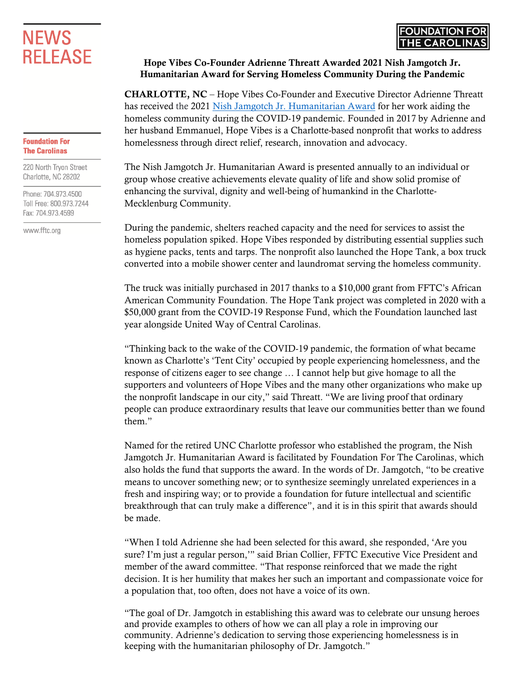## **NEWS RELEASE**

## **Foundation For The Carolinas**

220 North Tryon Street Charlotte, NC 28202

Phone: 704.973.4500 Toll Free: 800.973.7244 Fax: 704.973.4599

www.fftc.org

## Hope Vibes Co-Founder Adrienne Threatt Awarded 2021 Nish Jamgotch Jr. Humanitarian Award for Serving Homeless Community During the Pandemic

CHARLOTTE, NC – Hope Vibes Co-Founder and Executive Director Adrienne Threatt has received the 2021 [Nish Jamgotch Jr. Humanitarian Award](https://www.fftc.org/NishJamgotch) for her work aiding the homeless community during the COVID-19 pandemic. Founded in 2017 by Adrienne and her husband Emmanuel, Hope Vibes is a Charlotte-based nonprofit that works to address homelessness through direct relief, research, innovation and advocacy.

The Nish Jamgotch Jr. Humanitarian Award is presented annually to an individual or group whose creative achievements elevate quality of life and show solid promise of enhancing the survival, dignity and well-being of humankind in the Charlotte-Mecklenburg Community.

During the pandemic, shelters reached capacity and the need for services to assist the homeless population spiked. Hope Vibes responded by distributing essential supplies such as hygiene packs, tents and tarps. The nonprofit also launched the Hope Tank, a box truck converted into a mobile shower center and laundromat serving the homeless community.

The truck was initially purchased in 2017 thanks to a \$10,000 grant from FFTC's African American Community Foundation. The Hope Tank project was completed in 2020 with a \$50,000 grant from the COVID-19 Response Fund, which the Foundation launched last year alongside United Way of Central Carolinas.

"Thinking back to the wake of the COVID-19 pandemic, the formation of what became known as Charlotte's 'Tent City' occupied by people experiencing homelessness, and the response of citizens eager to see change … I cannot help but give homage to all the supporters and volunteers of Hope Vibes and the many other organizations who make up the nonprofit landscape in our city," said Threatt. "We are living proof that ordinary people can produce extraordinary results that leave our communities better than we found them"

Named for the retired UNC Charlotte professor who established the program, the Nish Jamgotch Jr. Humanitarian Award is facilitated by Foundation For The Carolinas, which also holds the fund that supports the award. In the words of Dr. Jamgotch, "to be creative means to uncover something new; or to synthesize seemingly unrelated experiences in a fresh and inspiring way; or to provide a foundation for future intellectual and scientific breakthrough that can truly make a difference", and it is in this spirit that awards should be made.

"When I told Adrienne she had been selected for this award, she responded, 'Are you sure? I'm just a regular person,'" said Brian Collier, FFTC Executive Vice President and member of the award committee. "That response reinforced that we made the right decision. It is her humility that makes her such an important and compassionate voice for a population that, too often, does not have a voice of its own.

"The goal of Dr. Jamgotch in establishing this award was to celebrate our unsung heroes and provide examples to others of how we can all play a role in improving our community. Adrienne's dedication to serving those experiencing homelessness is in keeping with the humanitarian philosophy of Dr. Jamgotch."